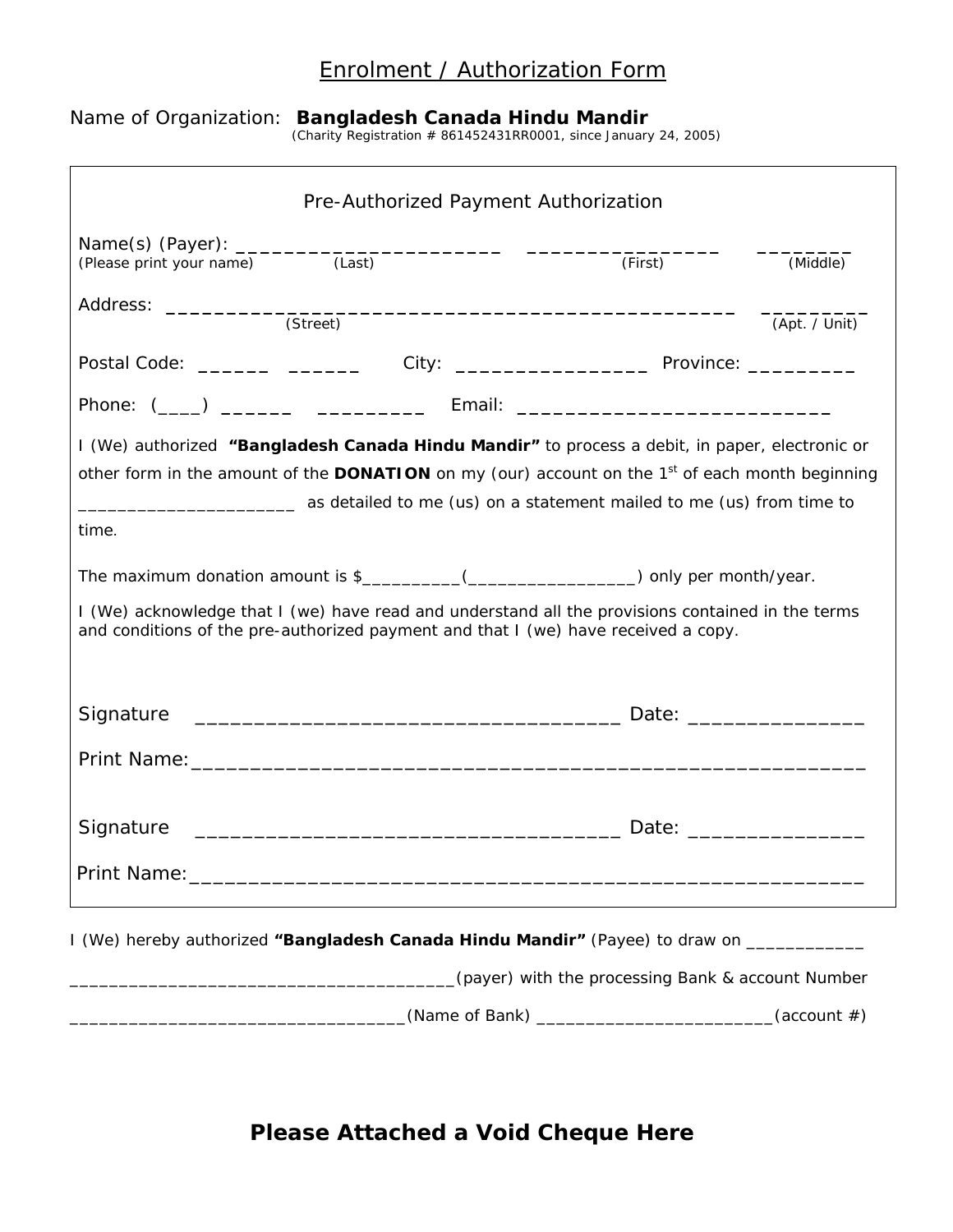## Enrolment / Authorization Form

## Name of Organization: **Bangladesh Canada Hindu Mandir** (Charity Registration # 861452431RR0001, since January 24, 2005)

|                                                                                                                                                                                         | Pre-Authorized Payment Authorization                                                                                                                                             |         |               |
|-----------------------------------------------------------------------------------------------------------------------------------------------------------------------------------------|----------------------------------------------------------------------------------------------------------------------------------------------------------------------------------|---------|---------------|
|                                                                                                                                                                                         |                                                                                                                                                                                  | (First) | (Middle)      |
|                                                                                                                                                                                         | (Street)                                                                                                                                                                         |         | (Apt. / Unit) |
|                                                                                                                                                                                         | Postal Code: _________ ___________ City: _______________________ Province: ___________                                                                                           |         |               |
|                                                                                                                                                                                         |                                                                                                                                                                                  |         |               |
|                                                                                                                                                                                         | Phone: (____) ________ ______________ Email: ___________________________________                                                                                                 |         |               |
|                                                                                                                                                                                         | I (We) authorized "Bangladesh Canada Hindu Mandir" to process a debit, in paper, electronic or                                                                                   |         |               |
|                                                                                                                                                                                         | other form in the amount of the <b>DONATION</b> on my (our) account on the $1st$ of each month beginning<br>as detailed to me (us) on a statement mailed to me (us) from time to |         |               |
| time.                                                                                                                                                                                   |                                                                                                                                                                                  |         |               |
|                                                                                                                                                                                         |                                                                                                                                                                                  |         |               |
|                                                                                                                                                                                         | The maximum donation amount is \$__________(____________________) only per month/year.                                                                                           |         |               |
| I (We) acknowledge that I (we) have read and understand all the provisions contained in the terms<br>and conditions of the pre-authorized payment and that I (we) have received a copy. |                                                                                                                                                                                  |         |               |
|                                                                                                                                                                                         |                                                                                                                                                                                  |         |               |
|                                                                                                                                                                                         |                                                                                                                                                                                  |         |               |
| Signature                                                                                                                                                                               |                                                                                                                                                                                  |         |               |
|                                                                                                                                                                                         |                                                                                                                                                                                  |         |               |
|                                                                                                                                                                                         |                                                                                                                                                                                  |         |               |
| Signature                                                                                                                                                                               |                                                                                                                                                                                  |         |               |
| Print Name:_                                                                                                                                                                            |                                                                                                                                                                                  |         |               |
|                                                                                                                                                                                         |                                                                                                                                                                                  |         |               |
|                                                                                                                                                                                         | I (We) hereby authorized "Bangladesh Canada Hindu Mandir" (Payee) to draw on ___________                                                                                         |         |               |
| (payer) with the processing Bank & account Number                                                                                                                                       |                                                                                                                                                                                  |         |               |
|                                                                                                                                                                                         |                                                                                                                                                                                  |         | (account#)    |

## **Please Attached a Void Cheque Here**